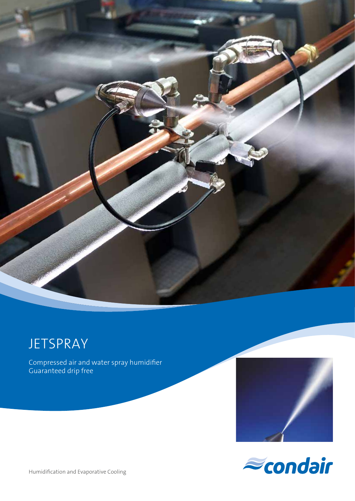

**JETSPRAY** 

Compressed air and water spray humidifier Guaranteed drip free





Humidification and Evaporative Cooling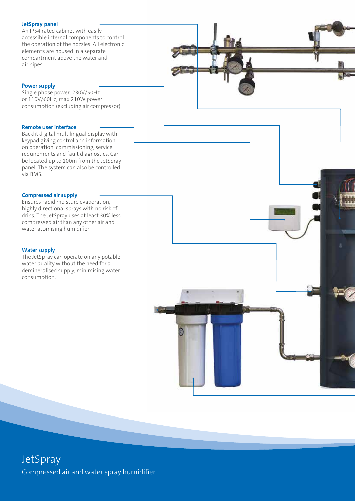#### **JetSpray panel**

An IP54 rated cabinet with easily accessible internal components to control the operation of the nozzles. All electronic elements are housed in a separate compartment above the water and air pipes.

#### **Power supply**

Single phase power, 230V/50Hz or 110V/60Hz, max 210W power consumption (excluding air compressor).

#### **Remote user interface**

Backlit digital multilingual display with keypad giving control and information on operation, commissioning, service requirements and fault diagnostics. Can be located up to 100m from the JetSpray panel. The system can also be controlled via BMS.

#### **Compressed air supply**

Ensures rapid moisture evaporation, highly directional sprays with no risk of drips. The JetSpray uses at least 30% less compressed air than any other air and water atomising humidifier.

#### **Water supply**

The JetSpray can operate on any potable water quality without the need for a demineralised supply, minimising water consumption.



## **JetSpray** Compressed air and water spray humidifier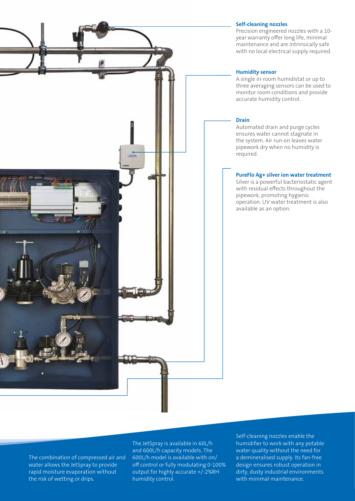#### **Self-cleaning nozzles**

Precision engineered nozzles with a 10 year warranty offer long life, minimal maintenance and are intrinsically safe with no local electrical supply required.

#### **Humidity sensor**

A single in-room humidistat or up to three averaging sensors can be used to monitor room conditions and provide accurate humidity control.

#### **Drain**

Automated drain and purge cycles ensures water cannot stagnate in the system. Air run-on leaves water pipework dry when no humidity is required.

#### **PureFlo Ag+ silver ion water treatment**

Silver is a powerful bacteriostatic agent with residual effects throughout the pipework, promoting hygienic operation. UV water treatment is also available as an option.

The combination of compressed air and water allows the JetSpray to provide rapid moisture evaporation without the risk of wetting or drips.

The JetSpray is available in 60L/h and 600L/h capacity models. The 600L/h model is available with on/ off control or fully modulating 0-100% output for highly accurate +/-2%RH humidity control.

Self-cleaning nozzles enable the humidifier to work with any potable water quality without the need for a demineralised supply. Its fan-free design ensures robust operation in dirty, dusty industrial environments with minimal maintenance.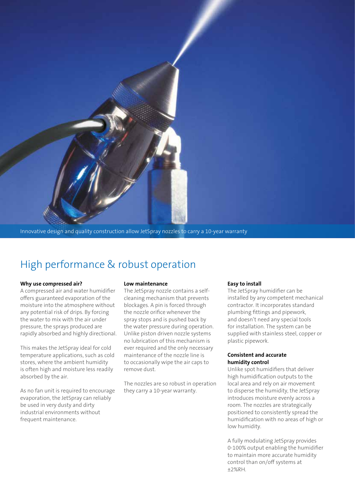

Innovative design and quality construction allow JetSpray nozzles to carry a 10-year warranty

# High performance & robust operation

#### **Why use compressed air?**

A compressed air and water humidifier offers guaranteed evaporation of the moisture into the atmosphere without any potential risk of drips. By forcing the water to mix with the air under pressure, the sprays produced are rapidly absorbed and highly directional.

This makes the JetSpray ideal for cold temperature applications, such as cold stores, where the ambient humidity is often high and moisture less readily absorbed by the air.

As no fan unit is required to encourage evaporation, the JetSpray can reliably be used in very dusty and dirty industrial environments without frequent maintenance.

#### **Low maintenance**

The JetSpray nozzle contains a selfcleaning mechanism that prevents blockages. A pin is forced through the nozzle orifice whenever the spray stops and is pushed back by the water pressure during operation. Unlike piston driven nozzle systems no lubrication of this mechanism is ever required and the only necessary maintenance of the nozzle line is to occasionally wipe the air caps to remove dust.

The nozzles are so robust in operation they carry a 10-year warranty.

#### **Easy to install**

The JetSpray humidifier can be installed by any competent mechanical contractor. It incorporates standard plumbing fittings and pipework, and doesn't need any special tools for installation. The system can be supplied with stainless steel, copper or plastic pipework.

#### **Consistent and accurate humidity control**

Unlike spot humidifiers that deliver high humidification outputs to the local area and rely on air movement to disperse the humidity, the JetSpray introduces moisture evenly across a room. The nozzles are strategically positioned to consistently spread the humidification with no areas of high or low humidity.

A fully modulating JetSpray provides 0-100% output enabling the humidifier to maintain more accurate humidity control than on/off systems at ±2%RH.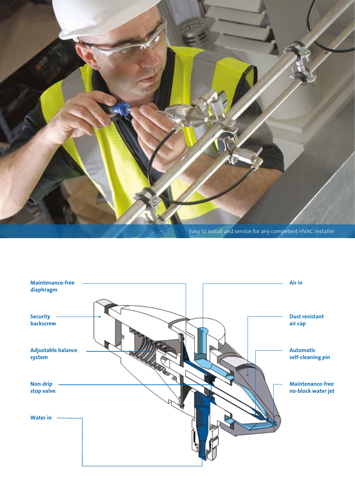

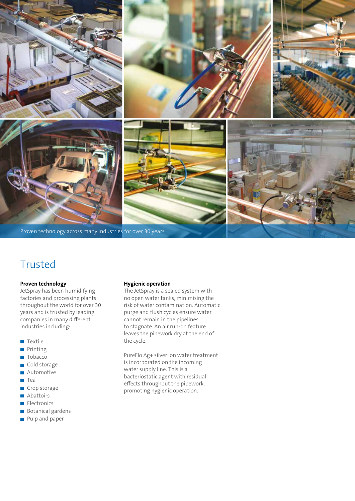

# Trusted

#### **Proven technology**

JetSpray has been humidifying factories and processing plants throughout the world for over 30 years and is trusted by leading companies in many different industries including:

- **T**extile
- **Printing**
- Tobacco
- Cold storage
- Automotive  $\overline{\phantom{a}}$
- **T**ea
- Crop storage
- **Abattoirs**
- **Electronics**
- **Botanical gardens**
- **Pulp and paper**

#### **Hygienic operation**

The JetSpray is a sealed system with no open water tanks, minimising the risk of water contamination. Automatic purge and flush cycles ensure water cannot remain in the pipelines to stagnate. An air run-on feature leaves the pipework dry at the end of the cycle.

PureFlo Ag+ silver ion water treatment is incorporated on the incoming water supply line. This is a bacteriostatic agent with residual effects throughout the pipework, promoting hygienic operation.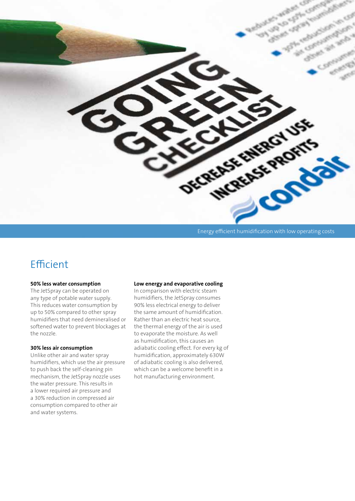

Energy efficient humidification with low operating costs

## Efficient

#### **50% less water consumption**

The JetSpray can be operated on any type of potable water supply. This reduces water consumption by up to 50% compared to other spray humidifiers that need demineralised or softened water to prevent blockages at the nozzle.

#### **30% less air consumption**

Unlike other air and water spray humidifiers, which use the air pressure to push back the self-cleaning pin mechanism, the JetSpray nozzle uses the water pressure. This results in a lower required air pressure and a 30% reduction in compressed air consumption compared to other air and water systems.

#### **Low energy and evaporative cooling**

In comparison with electric steam humidifiers, the JetSpray consumes 90% less electrical energy to deliver the same amount of humidification. Rather than an electric heat source, the thermal energy of the air is used to evaporate the moisture. As well as humidification, this causes an adiabatic cooling effect. For every kg of humidification, approximately 630W of adiabatic cooling is also delivered, which can be a welcome benefit in a hot manufacturing environment.